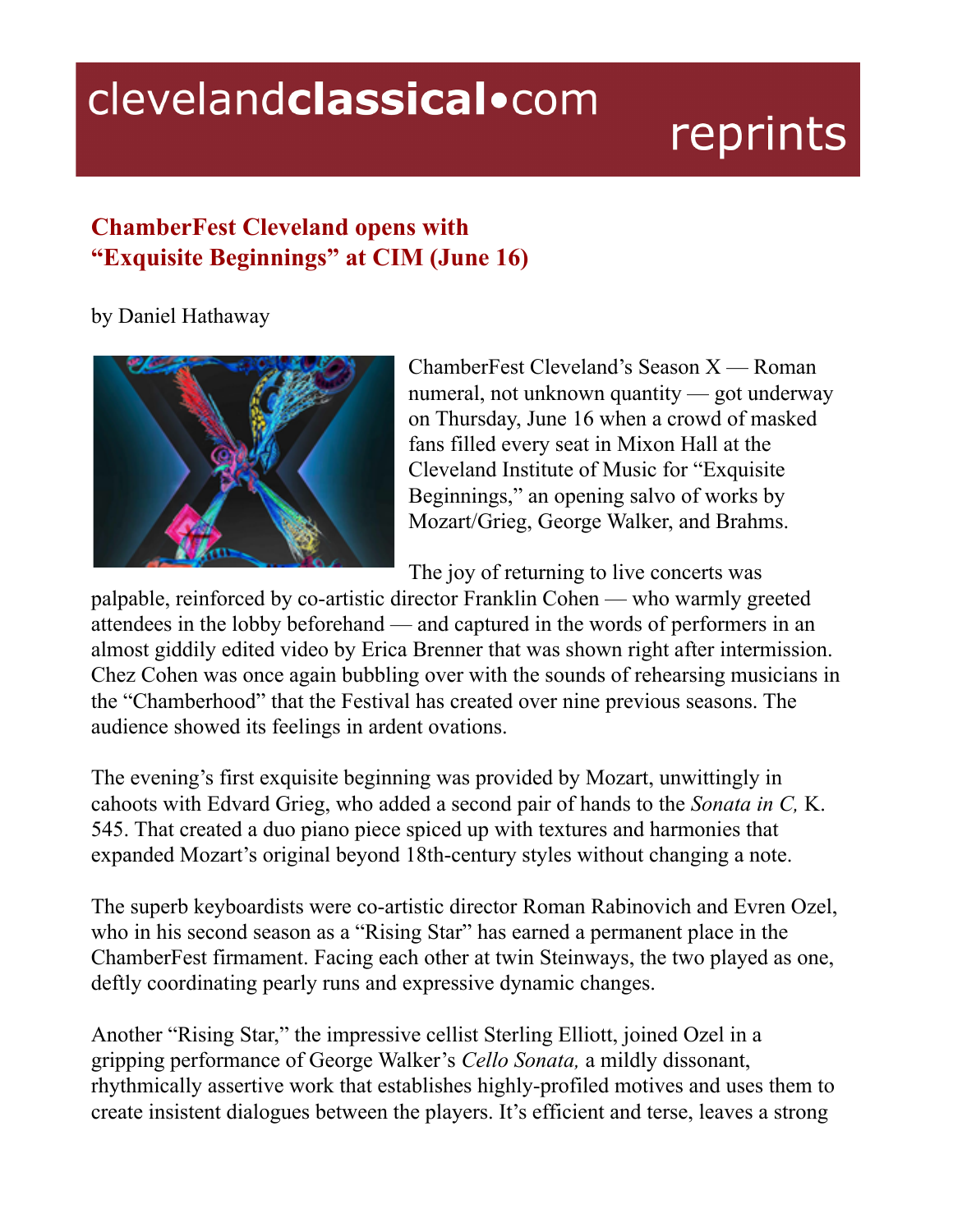## clevelandclassical.com

## reprints

## **ChamberFest Cleveland opens with "Exquisite Beginnings" at CIM (June 16)**

by Daniel Hathaway



ChamberFest Cleveland's Season X — Roman numeral, not unknown quantity — got underway on Thursday, June 16 when a crowd of masked fans filled every seat in Mixon Hall at the Cleveland Institute of Music for "Exquisite Beginnings," an opening salvo of works by Mozart/Grieg, George Walker, and Brahms.

The joy of returning to live concerts was

palpable, reinforced by co-artistic director Franklin Cohen — who warmly greeted attendees in the lobby beforehand — and captured in the words of performers in an almost giddily edited video by Erica Brenner that was shown right after intermission. Chez Cohen was once again bubbling over with the sounds of rehearsing musicians in the "Chamberhood" that the Festival has created over nine previous seasons. The audience showed its feelings in ardent ovations.

The evening's first exquisite beginning was provided by Mozart, unwittingly in cahoots with Edvard Grieg, who added a second pair of hands to the *Sonata in C,* K. 545. That created a duo piano piece spiced up with textures and harmonies that expanded Mozart's original beyond 18th-century styles without changing a note.

The superb keyboardists were co-artistic director Roman Rabinovich and Evren Ozel, who in his second season as a "Rising Star" has earned a permanent place in the ChamberFest firmament. Facing each other at twin Steinways, the two played as one, deftly coordinating pearly runs and expressive dynamic changes.

Another "Rising Star," the impressive cellist Sterling Elliott, joined Ozel in a gripping performance of George Walker's *Cello Sonata,* a mildly dissonant, rhythmically assertive work that establishes highly-profiled motives and uses them to create insistent dialogues between the players. It's efficient and terse, leaves a strong